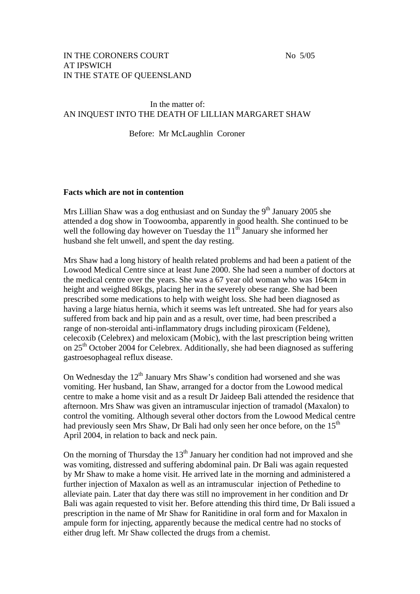### IN THE CORONERS COURT No 5/05 AT IPSWICH IN THE STATE OF QUEENSLAND

## In the matter of: AN INQUEST INTO THE DEATH OF LILLIAN MARGARET SHAW

Before: Mr McLaughlin Coroner

#### **Facts which are not in contention**

Mrs Lillian Shaw was a dog enthusiast and on Sunday the  $9<sup>th</sup>$  January 2005 she attended a dog show in Toowoomba, apparently in good health. She continued to be well the following day however on Tuesday the  $11<sup>th</sup>$  January she informed her husband she felt unwell, and spent the day resting.

Mrs Shaw had a long history of health related problems and had been a patient of the Lowood Medical Centre since at least June 2000. She had seen a number of doctors at the medical centre over the years. She was a 67 year old woman who was 164cm in height and weighed 86kgs, placing her in the severely obese range. She had been prescribed some medications to help with weight loss. She had been diagnosed as having a large hiatus hernia, which it seems was left untreated. She had for years also suffered from back and hip pain and as a result, over time, had been prescribed a range of non-steroidal anti-inflammatory drugs including piroxicam (Feldene), celecoxib (Celebrex) and meloxicam (Mobic), with the last prescription being written on  $25<sup>th</sup>$  October 2004 for Celebrex. Additionally, she had been diagnosed as suffering gastroesophageal reflux disease.

On Wednesday the  $12<sup>th</sup>$  January Mrs Shaw's condition had worsened and she was vomiting. Her husband, Ian Shaw, arranged for a doctor from the Lowood medical centre to make a home visit and as a result Dr Jaideep Bali attended the residence that afternoon. Mrs Shaw was given an intramuscular injection of tramadol (Maxalon) to control the vomiting. Although several other doctors from the Lowood Medical centre had previously seen Mrs Shaw, Dr Bali had only seen her once before, on the 15<sup>th</sup> April 2004, in relation to back and neck pain.

On the morning of Thursday the  $13<sup>th</sup>$  January her condition had not improved and she was vomiting, distressed and suffering abdominal pain. Dr Bali was again requested by Mr Shaw to make a home visit. He arrived late in the morning and administered a further injection of Maxalon as well as an intramuscular injection of Pethedine to alleviate pain. Later that day there was still no improvement in her condition and Dr Bali was again requested to visit her. Before attending this third time, Dr Bali issued a prescription in the name of Mr Shaw for Ranitidine in oral form and for Maxalon in ampule form for injecting, apparently because the medical centre had no stocks of either drug left. Mr Shaw collected the drugs from a chemist.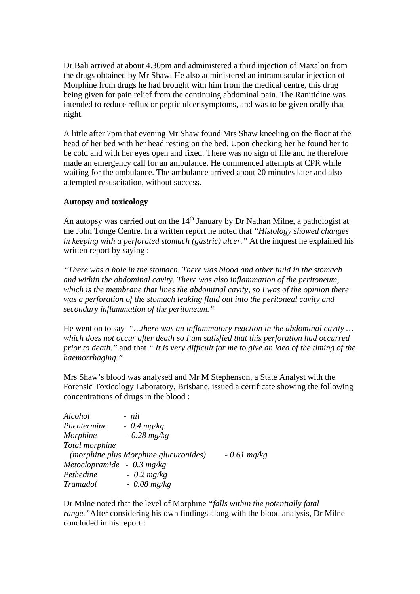Dr Bali arrived at about 4.30pm and administered a third injection of Maxalon from the drugs obtained by Mr Shaw. He also administered an intramuscular injection of Morphine from drugs he had brought with him from the medical centre, this drug being given for pain relief from the continuing abdominal pain. The Ranitidine was intended to reduce reflux or peptic ulcer symptoms, and was to be given orally that night.

A little after 7pm that evening Mr Shaw found Mrs Shaw kneeling on the floor at the head of her bed with her head resting on the bed. Upon checking her he found her to be cold and with her eyes open and fixed. There was no sign of life and he therefore made an emergency call for an ambulance. He commenced attempts at CPR while waiting for the ambulance. The ambulance arrived about 20 minutes later and also attempted resuscitation, without success.

# **Autopsy and toxicology**

An autopsy was carried out on the  $14<sup>th</sup>$  January by Dr Nathan Milne, a pathologist at the John Tonge Centre. In a written report he noted that *"Histology showed changes in keeping with a perforated stomach (gastric) ulcer."* At the inquest he explained his written report by saying :

*"There was a hole in the stomach. There was blood and other fluid in the stomach and within the abdominal cavity. There was also inflammation of the peritoneum, which is the membrane that lines the abdominal cavity, so I was of the opinion there was a perforation of the stomach leaking fluid out into the peritoneal cavity and secondary inflammation of the peritoneum."* 

He went on to say *"…there was an inflammatory reaction in the abdominal cavity … which does not occur after death so I am satisfied that this perforation had occurred prior to death."* and that *" It is very difficult for me to give an idea of the timing of the haemorrhaging."* 

Mrs Shaw's blood was analysed and Mr M Stephenson, a State Analyst with the Forensic Toxicology Laboratory, Brisbane, issued a certificate showing the following concentrations of drugs in the blood :

| Alcohol                              | - nil                                 |               |
|--------------------------------------|---------------------------------------|---------------|
| Phentermine                          | $-0.4$ mg/kg                          |               |
| Morphine                             | $-0.28$ mg/kg                         |               |
| Total morphine                       |                                       |               |
|                                      | (morphine plus Morphine glucuronides) | $-0.61$ mg/kg |
| Metoclopramide - $0.3 \text{ mg/kg}$ |                                       |               |
| Pethedine                            | $-0.2$ mg/kg                          |               |
| <b>Tramadol</b>                      | $-0.08$ mg/kg                         |               |

Dr Milne noted that the level of Morphine *"falls within the potentially fatal range."*After considering his own findings along with the blood analysis, Dr Milne concluded in his report :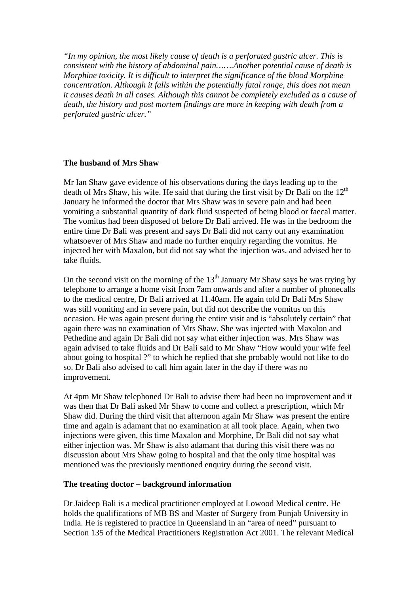*"In my opinion, the most likely cause of death is a perforated gastric ulcer. This is consistent with the history of abdominal pain…….Another potential cause of death is Morphine toxicity. It is difficult to interpret the significance of the blood Morphine concentration. Although it falls within the potentially fatal range, this does not mean it causes death in all cases. Although this cannot be completely excluded as a cause of death, the history and post mortem findings are more in keeping with death from a perforated gastric ulcer."* 

## **The husband of Mrs Shaw**

Mr Ian Shaw gave evidence of his observations during the days leading up to the death of Mrs Shaw, his wife. He said that during the first visit by Dr Bali on the  $12<sup>th</sup>$ January he informed the doctor that Mrs Shaw was in severe pain and had been vomiting a substantial quantity of dark fluid suspected of being blood or faecal matter. The vomitus had been disposed of before Dr Bali arrived. He was in the bedroom the entire time Dr Bali was present and says Dr Bali did not carry out any examination whatsoever of Mrs Shaw and made no further enquiry regarding the vomitus. He injected her with Maxalon, but did not say what the injection was, and advised her to take fluids.

On the second visit on the morning of the  $13<sup>th</sup>$  January Mr Shaw says he was trying by telephone to arrange a home visit from 7am onwards and after a number of phonecalls to the medical centre, Dr Bali arrived at 11.40am. He again told Dr Bali Mrs Shaw was still vomiting and in severe pain, but did not describe the vomitus on this occasion. He was again present during the entire visit and is "absolutely certain" that again there was no examination of Mrs Shaw. She was injected with Maxalon and Pethedine and again Dr Bali did not say what either injection was. Mrs Shaw was again advised to take fluids and Dr Bali said to Mr Shaw "How would your wife feel about going to hospital ?" to which he replied that she probably would not like to do so. Dr Bali also advised to call him again later in the day if there was no improvement.

At 4pm Mr Shaw telephoned Dr Bali to advise there had been no improvement and it was then that Dr Bali asked Mr Shaw to come and collect a prescription, which Mr Shaw did. During the third visit that afternoon again Mr Shaw was present the entire time and again is adamant that no examination at all took place. Again, when two injections were given, this time Maxalon and Morphine, Dr Bali did not say what either injection was. Mr Shaw is also adamant that during this visit there was no discussion about Mrs Shaw going to hospital and that the only time hospital was mentioned was the previously mentioned enquiry during the second visit.

# **The treating doctor – background information**

Dr Jaideep Bali is a medical practitioner employed at Lowood Medical centre. He holds the qualifications of MB BS and Master of Surgery from Punjab University in India. He is registered to practice in Queensland in an "area of need" pursuant to Section 135 of the Medical Practitioners Registration Act 2001. The relevant Medical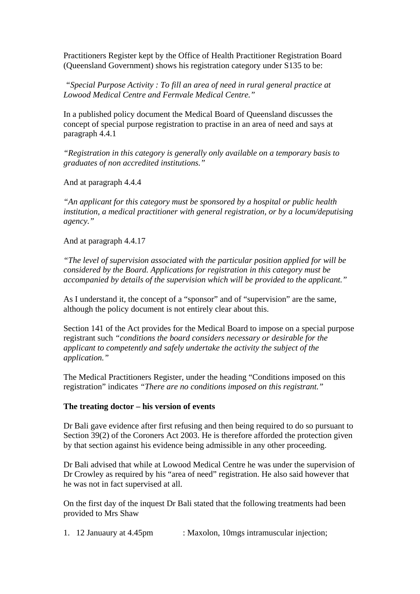Practitioners Register kept by the Office of Health Practitioner Registration Board (Queensland Government) shows his registration category under S135 to be:

 *"Special Purpose Activity : To fill an area of need in rural general practice at Lowood Medical Centre and Fernvale Medical Centre."* 

In a published policy document the Medical Board of Queensland discusses the concept of special purpose registration to practise in an area of need and says at paragraph 4.4.1

*"Registration in this category is generally only available on a temporary basis to graduates of non accredited institutions."* 

And at paragraph 4.4.4

*"An applicant for this category must be sponsored by a hospital or public health institution, a medical practitioner with general registration, or by a locum/deputising agency."* 

And at paragraph 4.4.17

*"The level of supervision associated with the particular position applied for will be considered by the Board. Applications for registration in this category must be accompanied by details of the supervision which will be provided to the applicant."* 

As I understand it, the concept of a "sponsor" and of "supervision" are the same, although the policy document is not entirely clear about this.

Section 141 of the Act provides for the Medical Board to impose on a special purpose registrant such *"conditions the board considers necessary or desirable for the applicant to competently and safely undertake the activity the subject of the application."* 

The Medical Practitioners Register, under the heading "Conditions imposed on this registration" indicates *"There are no conditions imposed on this registrant."* 

#### **The treating doctor – his version of events**

Dr Bali gave evidence after first refusing and then being required to do so pursuant to Section 39(2) of the Coroners Act 2003. He is therefore afforded the protection given by that section against his evidence being admissible in any other proceeding.

Dr Bali advised that while at Lowood Medical Centre he was under the supervision of Dr Crowley as required by his "area of need" registration. He also said however that he was not in fact supervised at all.

On the first day of the inquest Dr Bali stated that the following treatments had been provided to Mrs Shaw

1. 12 Januaury at 4.45pm : Maxolon, 10mgs intramuscular injection;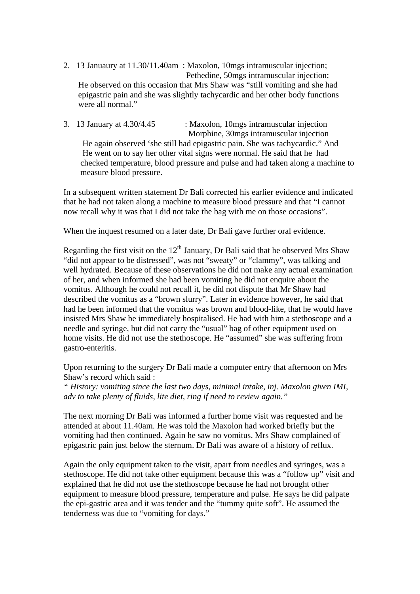- 2. 13 Januaury at 11.30/11.40am : Maxolon, 10mgs intramuscular injection; Pethedine, 50mgs intramuscular injection; He observed on this occasion that Mrs Shaw was "still vomiting and she had epigastric pain and she was slightly tachycardic and her other body functions were all normal."
- 3. 13 January at 4.30/4.45 : Maxolon, 10mgs intramuscular injection Morphine, 30mgs intramuscular injection He again observed 'she still had epigastric pain. She was tachycardic." And He went on to say her other vital signs were normal. He said that he had checked temperature, blood pressure and pulse and had taken along a machine to measure blood pressure.

In a subsequent written statement Dr Bali corrected his earlier evidence and indicated that he had not taken along a machine to measure blood pressure and that "I cannot now recall why it was that I did not take the bag with me on those occasions".

When the inquest resumed on a later date, Dr Bali gave further oral evidence.

Regarding the first visit on the  $12<sup>th</sup>$  January, Dr Bali said that he observed Mrs Shaw "did not appear to be distressed", was not "sweaty" or "clammy", was talking and well hydrated. Because of these observations he did not make any actual examination of her, and when informed she had been vomiting he did not enquire about the vomitus. Although he could not recall it, he did not dispute that Mr Shaw had described the vomitus as a "brown slurry". Later in evidence however, he said that had he been informed that the vomitus was brown and blood-like, that he would have insisted Mrs Shaw be immediately hospitalised. He had with him a stethoscope and a needle and syringe, but did not carry the "usual" bag of other equipment used on home visits. He did not use the stethoscope. He "assumed" she was suffering from gastro-enteritis.

Upon returning to the surgery Dr Bali made a computer entry that afternoon on Mrs Shaw's record which said :

*" History: vomiting since the last two days, minimal intake, inj. Maxolon given IMI, adv to take plenty of fluids, lite diet, ring if need to review again."* 

The next morning Dr Bali was informed a further home visit was requested and he attended at about 11.40am. He was told the Maxolon had worked briefly but the vomiting had then continued. Again he saw no vomitus. Mrs Shaw complained of epigastric pain just below the sternum. Dr Bali was aware of a history of reflux.

Again the only equipment taken to the visit, apart from needles and syringes, was a stethoscope. He did not take other equipment because this was a "follow up" visit and explained that he did not use the stethoscope because he had not brought other equipment to measure blood pressure, temperature and pulse. He says he did palpate the epi-gastric area and it was tender and the "tummy quite soft". He assumed the tenderness was due to "vomiting for days."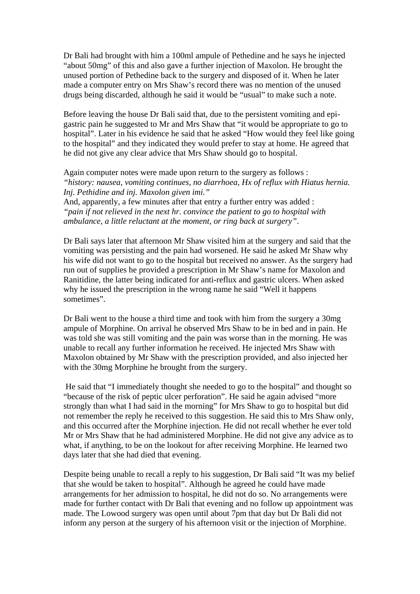Dr Bali had brought with him a 100ml ampule of Pethedine and he says he injected "about 50mg" of this and also gave a further injection of Maxolon. He brought the unused portion of Pethedine back to the surgery and disposed of it. When he later made a computer entry on Mrs Shaw's record there was no mention of the unused drugs being discarded, although he said it would be "usual" to make such a note.

Before leaving the house Dr Bali said that, due to the persistent vomiting and epigastric pain he suggested to Mr and Mrs Shaw that "it would be appropriate to go to hospital". Later in his evidence he said that he asked "How would they feel like going to the hospital" and they indicated they would prefer to stay at home. He agreed that he did not give any clear advice that Mrs Shaw should go to hospital.

Again computer notes were made upon return to the surgery as follows : *"history: nausea, vomiting continues, no diarrhoea, Hx of reflux with Hiatus hernia. Inj. Pethidine and inj. Maxolon given imi."* 

And, apparently, a few minutes after that entry a further entry was added : *"pain if not relieved in the next hr. convince the patient to go to hospital with ambulance, a little reluctant at the moment, or ring back at surgery"*.

Dr Bali says later that afternoon Mr Shaw visited him at the surgery and said that the vomiting was persisting and the pain had worsened. He said he asked Mr Shaw why his wife did not want to go to the hospital but received no answer. As the surgery had run out of supplies he provided a prescription in Mr Shaw's name for Maxolon and Ranitidine, the latter being indicated for anti-reflux and gastric ulcers. When asked why he issued the prescription in the wrong name he said "Well it happens sometimes".

Dr Bali went to the house a third time and took with him from the surgery a 30mg ampule of Morphine. On arrival he observed Mrs Shaw to be in bed and in pain. He was told she was still vomiting and the pain was worse than in the morning. He was unable to recall any further information he received. He injected Mrs Shaw with Maxolon obtained by Mr Shaw with the prescription provided, and also injected her with the 30mg Morphine he brought from the surgery.

 He said that "I immediately thought she needed to go to the hospital" and thought so "because of the risk of peptic ulcer perforation". He said he again advised "more strongly than what I had said in the morning" for Mrs Shaw to go to hospital but did not remember the reply he received to this suggestion. He said this to Mrs Shaw only, and this occurred after the Morphine injection. He did not recall whether he ever told Mr or Mrs Shaw that he had administered Morphine. He did not give any advice as to what, if anything, to be on the lookout for after receiving Morphine. He learned two days later that she had died that evening.

Despite being unable to recall a reply to his suggestion, Dr Bali said "It was my belief that she would be taken to hospital". Although he agreed he could have made arrangements for her admission to hospital, he did not do so. No arrangements were made for further contact with Dr Bali that evening and no follow up appointment was made. The Lowood surgery was open until about 7pm that day but Dr Bali did not inform any person at the surgery of his afternoon visit or the injection of Morphine.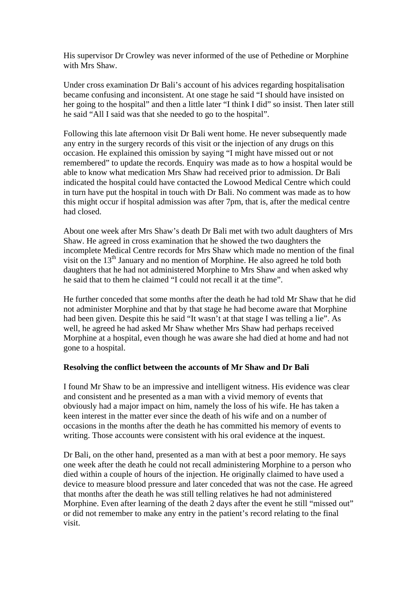His supervisor Dr Crowley was never informed of the use of Pethedine or Morphine with Mrs Shaw.

Under cross examination Dr Bali's account of his advices regarding hospitalisation became confusing and inconsistent. At one stage he said "I should have insisted on her going to the hospital" and then a little later "I think I did" so insist. Then later still he said "All I said was that she needed to go to the hospital".

Following this late afternoon visit Dr Bali went home. He never subsequently made any entry in the surgery records of this visit or the injection of any drugs on this occasion. He explained this omission by saying "I might have missed out or not remembered" to update the records. Enquiry was made as to how a hospital would be able to know what medication Mrs Shaw had received prior to admission. Dr Bali indicated the hospital could have contacted the Lowood Medical Centre which could in turn have put the hospital in touch with Dr Bali. No comment was made as to how this might occur if hospital admission was after 7pm, that is, after the medical centre had closed.

About one week after Mrs Shaw's death Dr Bali met with two adult daughters of Mrs Shaw. He agreed in cross examination that he showed the two daughters the incomplete Medical Centre records for Mrs Shaw which made no mention of the final visit on the  $13<sup>th</sup>$  January and no mention of Morphine. He also agreed he told both daughters that he had not administered Morphine to Mrs Shaw and when asked why he said that to them he claimed "I could not recall it at the time".

He further conceded that some months after the death he had told Mr Shaw that he did not administer Morphine and that by that stage he had become aware that Morphine had been given. Despite this he said "It wasn't at that stage I was telling a lie". As well, he agreed he had asked Mr Shaw whether Mrs Shaw had perhaps received Morphine at a hospital, even though he was aware she had died at home and had not gone to a hospital.

### **Resolving the conflict between the accounts of Mr Shaw and Dr Bali**

I found Mr Shaw to be an impressive and intelligent witness. His evidence was clear and consistent and he presented as a man with a vivid memory of events that obviously had a major impact on him, namely the loss of his wife. He has taken a keen interest in the matter ever since the death of his wife and on a number of occasions in the months after the death he has committed his memory of events to writing. Those accounts were consistent with his oral evidence at the inquest.

Dr Bali, on the other hand, presented as a man with at best a poor memory. He says one week after the death he could not recall administering Morphine to a person who died within a couple of hours of the injection. He originally claimed to have used a device to measure blood pressure and later conceded that was not the case. He agreed that months after the death he was still telling relatives he had not administered Morphine. Even after learning of the death 2 days after the event he still "missed out" or did not remember to make any entry in the patient's record relating to the final visit.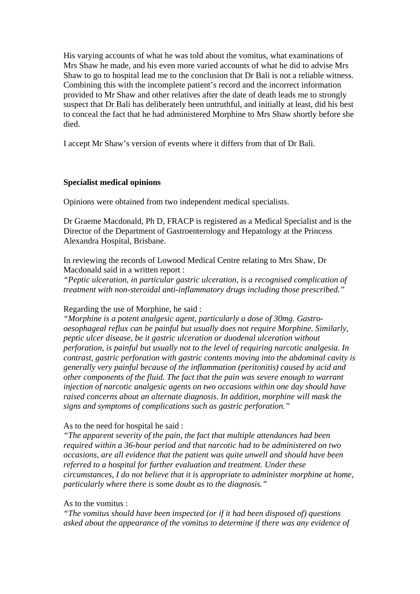His varying accounts of what he was told about the vomitus, what examinations of Mrs Shaw he made, and his even more varied accounts of what he did to advise Mrs Shaw to go to hospital lead me to the conclusion that Dr Bali is not a reliable witness. Combining this with the incomplete patient's record and the incorrect information provided to Mr Shaw and other relatives after the date of death leads me to strongly suspect that Dr Bali has deliberately been untruthful, and initially at least, did his best to conceal the fact that he had administered Morphine to Mrs Shaw shortly before she died.

I accept Mr Shaw's version of events where it differs from that of Dr Bali.

#### **Specialist medical opinions**

Opinions were obtained from two independent medical specialists.

Dr Graeme Macdonald, Ph D, FRACP is registered as a Medical Specialist and is the Director of the Department of Gastroenterology and Hepatology at the Princess Alexandra Hospital, Brisbane.

In reviewing the records of Lowood Medical Centre relating to Mrs Shaw, Dr Macdonald said in a written report :

*"Peptic ulceration, in particular gastric ulceration, is a recognised complication of treatment with non-steroidal anti-inflammatory drugs including those prescribed."* 

#### Regarding the use of Morphine, he said :

*"Morphine is a potent analgesic agent, particularly a dose of 30mg. Gastrooesophageal reflux can be painful but usually does not require Morphine. Similarly, peptic ulcer disease, be it gastric ulceration or duodenal ulceration without perforation, is painful but usually not to the level of requiring narcotic analgesia. In contrast, gastric perforation with gastric contents moving into the abdominal cavity is generally very painful because of the inflammation (peritonitis) caused by acid and other components of the fluid. The fact that the pain was severe enough to warrant injection of narcotic analgesic agents on two occasions within one day should have raised concerns about an alternate diagnosis. In addition, morphine will mask the signs and symptoms of complications such as gastric perforation."* 

#### As to the need for hospital he said :

*"The apparent severity of the pain, the fact that multiple attendances had been required within a 36-hour period and that narcotic had to be administered on two occasions, are all evidence that the patient was quite unwell and should have been referred to a hospital for further evaluation and treatment. Under these circumstances, I do not believe that it is appropriate to administer morphine at home, particularly where there is some doubt as to the diagnosis."* 

### As to the vomitus :

*"The vomitus should have been inspected (or if it had been disposed of) questions asked about the appearance of the vomitus to determine if there was any evidence of*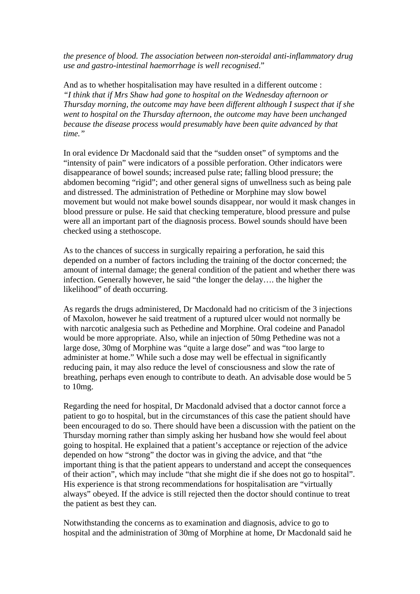*the presence of blood. The association between non-steroidal anti-inflammatory drug use and gastro-intestinal haemorrhage is well recognised*."

And as to whether hospitalisation may have resulted in a different outcome : *"I think that if Mrs Shaw had gone to hospital on the Wednesday afternoon or Thursday morning, the outcome may have been different although I suspect that if she went to hospital on the Thursday afternoon, the outcome may have been unchanged because the disease process would presumably have been quite advanced by that time."* 

In oral evidence Dr Macdonald said that the "sudden onset" of symptoms and the "intensity of pain" were indicators of a possible perforation. Other indicators were disappearance of bowel sounds; increased pulse rate; falling blood pressure; the abdomen becoming "rigid"; and other general signs of unwellness such as being pale and distressed. The administration of Pethedine or Morphine may slow bowel movement but would not make bowel sounds disappear, nor would it mask changes in blood pressure or pulse. He said that checking temperature, blood pressure and pulse were all an important part of the diagnosis process. Bowel sounds should have been checked using a stethoscope.

As to the chances of success in surgically repairing a perforation, he said this depended on a number of factors including the training of the doctor concerned; the amount of internal damage; the general condition of the patient and whether there was infection. Generally however, he said "the longer the delay…. the higher the likelihood" of death occurring.

As regards the drugs administered, Dr Macdonald had no criticism of the 3 injections of Maxolon, however he said treatment of a ruptured ulcer would not normally be with narcotic analgesia such as Pethedine and Morphine. Oral codeine and Panadol would be more appropriate. Also, while an injection of 50mg Pethedine was not a large dose, 30mg of Morphine was "quite a large dose" and was "too large to administer at home." While such a dose may well be effectual in significantly reducing pain, it may also reduce the level of consciousness and slow the rate of breathing, perhaps even enough to contribute to death. An advisable dose would be 5 to 10mg.

Regarding the need for hospital, Dr Macdonald advised that a doctor cannot force a patient to go to hospital, but in the circumstances of this case the patient should have been encouraged to do so. There should have been a discussion with the patient on the Thursday morning rather than simply asking her husband how she would feel about going to hospital. He explained that a patient's acceptance or rejection of the advice depended on how "strong" the doctor was in giving the advice, and that "the important thing is that the patient appears to understand and accept the consequences of their action", which may include "that she might die if she does not go to hospital". His experience is that strong recommendations for hospitalisation are "virtually always" obeyed. If the advice is still rejected then the doctor should continue to treat the patient as best they can.

Notwithstanding the concerns as to examination and diagnosis, advice to go to hospital and the administration of 30mg of Morphine at home, Dr Macdonald said he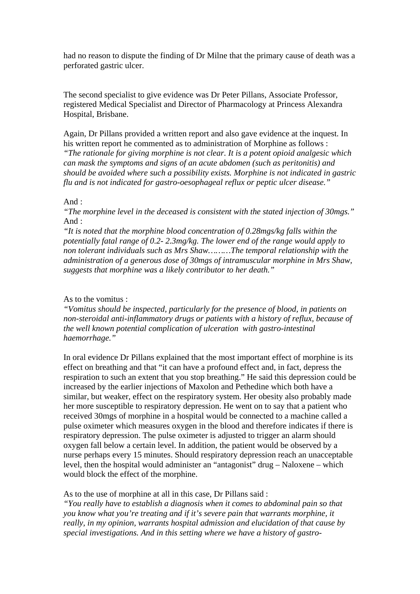had no reason to dispute the finding of Dr Milne that the primary cause of death was a perforated gastric ulcer.

The second specialist to give evidence was Dr Peter Pillans, Associate Professor, registered Medical Specialist and Director of Pharmacology at Princess Alexandra Hospital, Brisbane.

Again, Dr Pillans provided a written report and also gave evidence at the inquest. In his written report he commented as to administration of Morphine as follows : *"The rationale for giving morphine is not clear. It is a potent opioid analgesic which can mask the symptoms and signs of an acute abdomen (such as peritonitis) and should be avoided where such a possibility exists. Morphine is not indicated in gastric flu and is not indicated for gastro-oesophageal reflux or peptic ulcer disease."* 

#### And :

*"The morphine level in the deceased is consistent with the stated injection of 30mgs."*  And :

*"It is noted that the morphine blood concentration of 0.28mgs/kg falls within the potentially fatal range of 0.2- 2.3mg/kg. The lower end of the range would apply to non tolerant individuals such as Mrs Shaw………The temporal relationship with the administration of a generous dose of 30mgs of intramuscular morphine in Mrs Shaw, suggests that morphine was a likely contributor to her death."* 

### As to the vomitus :

*"Vomitus should be inspected, particularly for the presence of blood, in patients on non-steroidal anti-inflammatory drugs or patients with a history of reflux, because of the well known potential complication of ulceration with gastro-intestinal haemorrhage."* 

In oral evidence Dr Pillans explained that the most important effect of morphine is its effect on breathing and that "it can have a profound effect and, in fact, depress the respiration to such an extent that you stop breathing." He said this depression could be increased by the earlier injections of Maxolon and Pethedine which both have a similar, but weaker, effect on the respiratory system. Her obesity also probably made her more susceptible to respiratory depression. He went on to say that a patient who received 30mgs of morphine in a hospital would be connected to a machine called a pulse oximeter which measures oxygen in the blood and therefore indicates if there is respiratory depression. The pulse oximeter is adjusted to trigger an alarm should oxygen fall below a certain level. In addition, the patient would be observed by a nurse perhaps every 15 minutes. Should respiratory depression reach an unacceptable level, then the hospital would administer an "antagonist" drug – Naloxene – which would block the effect of the morphine.

As to the use of morphine at all in this case, Dr Pillans said :

*"You really have to establish a diagnosis when it comes to abdominal pain so that you know what you're treating and if it's severe pain that warrants morphine, it really, in my opinion, warrants hospital admission and elucidation of that cause by special investigations. And in this setting where we have a history of gastro-*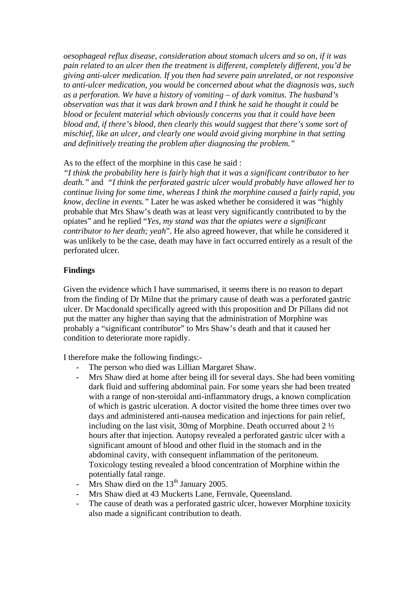*oesophageal reflux disease, consideration about stomach ulcers and so on, if it was pain related to an ulcer then the treatment is different, completely different, you'd be giving anti-ulcer medication. If you then had severe pain unrelated, or not responsive to anti-ulcer medication, you would be concerned about what the diagnosis was, such as a perforation. We have a history of vomiting – of dark vomitus. The husband's observation was that it was dark brown and I think he said he thought it could be blood or feculent material which obviously concerns you that it could have been blood and, if there's blood, then clearly this would suggest that there's some sort of mischief, like an ulcer, and clearly one would avoid giving morphine in that setting and definitively treating the problem after diagnosing the problem."* 

### As to the effect of the morphine in this case he said :

*"I think the probability here is fairly high that it was a significant contributor to her death."* and *"I think the perforated gastric ulcer would probably have allowed her to continue living for some time, whereas I think the morphine caused a fairly rapid, you know, decline in events."* Later he was asked whether he considered it was "highly probable that Mrs Shaw's death was at least very significantly contributed to by the opiates" and he replied "*Yes, my stand was that the opiates were a significant contributor to her death; yeah*". He also agreed however, that while he considered it was unlikely to be the case, death may have in fact occurred entirely as a result of the perforated ulcer.

## **Findings**

Given the evidence which I have summarised, it seems there is no reason to depart from the finding of Dr Milne that the primary cause of death was a perforated gastric ulcer. Dr Macdonald specifically agreed with this proposition and Dr Pillans did not put the matter any higher than saying that the administration of Morphine was probably a "significant contributor" to Mrs Shaw's death and that it caused her condition to deteriorate more rapidly.

I therefore make the following findings:-

- The person who died was Lillian Margaret Shaw.
- Mrs Shaw died at home after being ill for several days. She had been vomiting dark fluid and suffering abdominal pain. For some years she had been treated with a range of non-steroidal anti-inflammatory drugs, a known complication of which is gastric ulceration. A doctor visited the home three times over two days and administered anti-nausea medication and injections for pain relief, including on the last visit, 30mg of Morphine. Death occurred about 2 ½ hours after that injection. Autopsy revealed a perforated gastric ulcer with a significant amount of blood and other fluid in the stomach and in the abdominal cavity, with consequent inflammation of the peritoneum. Toxicology testing revealed a blood concentration of Morphine within the potentially fatal range.
- Mrs Shaw died on the  $13<sup>th</sup>$  January 2005.
- Mrs Shaw died at 43 Muckerts Lane, Fernvale, Queensland.
- The cause of death was a perforated gastric ulcer, however Morphine toxicity also made a significant contribution to death.